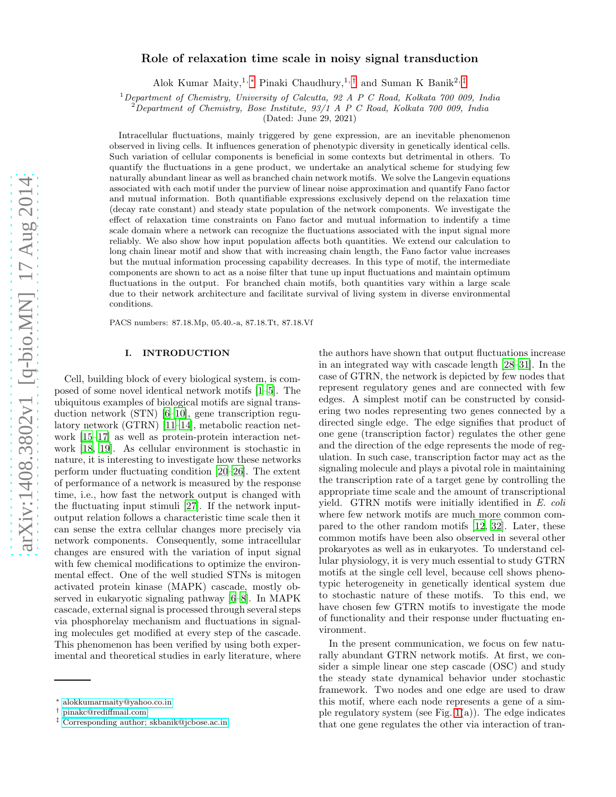# arXiv:1408.3802v1 [q-bio.MN] 17 Aug 2014 [arXiv:1408.3802v1 \[q-bio.MN\] 17 Aug 2014](http://arxiv.org/abs/1408.3802v1)

# Role of relaxation time scale in noisy signal transduction

Alok Kumar Maity,<sup>1, \*</sup> Pinaki Chaudhury,<sup>1,[†](#page-0-1)</sup> and Suman K Banik<sup>2,[‡](#page-0-2)</sup>

<sup>1</sup>*Department of Chemistry, University of Calcutta, 92 A P C Road, Kolkata 700 009, India*

<sup>2</sup>*Department of Chemistry, Bose Institute, 93/1 A P C Road, Kolkata 700 009, India*

(Dated: June 29, 2021)

Intracellular fluctuations, mainly triggered by gene expression, are an inevitable phenomenon observed in living cells. It influences generation of phenotypic diversity in genetically identical cells. Such variation of cellular components is beneficial in some contexts but detrimental in others. To quantify the fluctuations in a gene product, we undertake an analytical scheme for studying few naturally abundant linear as well as branched chain network motifs. We solve the Langevin equations associated with each motif under the purview of linear noise approximation and quantify Fano factor and mutual information. Both quantifiable expressions exclusively depend on the relaxation time (decay rate constant) and steady state population of the network components. We investigate the effect of relaxation time constraints on Fano factor and mutual information to indentify a time scale domain where a network can recognize the fluctuations associated with the input signal more reliably. We also show how input population affects both quantities. We extend our calculation to long chain linear motif and show that with increasing chain length, the Fano factor value increases but the mutual information processing capability decreases. In this type of motif, the intermediate components are shown to act as a noise filter that tune up input fluctuations and maintain optimum fluctuations in the output. For branched chain motifs, both quantities vary within a large scale due to their network architecture and facilitate survival of living system in diverse environmental conditions.

PACS numbers: 87.18.Mp, 05.40.-a, 87.18.Tt, 87.18.Vf

# I. INTRODUCTION

Cell, building block of every biological system, is composed of some novel identical network motifs [\[1](#page-12-0)[–5\]](#page-12-1). The ubiquitous examples of biological motifs are signal transduction network (STN) [\[6](#page-12-2)[–10\]](#page-12-3), gene transcription regulatory network (GTRN) [\[11–](#page-12-4)[14\]](#page-12-5), metabolic reaction network [\[15](#page-12-6)[–17\]](#page-12-7) as well as protein-protein interaction network [\[18](#page-12-8), [19](#page-12-9)]. As cellular environment is stochastic in nature, it is interesting to investigate how these networks perform under fluctuating condition [\[20](#page-12-10)[–26\]](#page-13-0). The extent of performance of a network is measured by the response time, i.e., how fast the network output is changed with the fluctuating input stimuli [\[27](#page-13-1)]. If the network inputoutput relation follows a characteristic time scale then it can sense the extra cellular changes more precisely via network components. Consequently, some intracellular changes are ensured with the variation of input signal with few chemical modifications to optimize the environmental effect. One of the well studied STNs is mitogen activated protein kinase (MAPK) cascade, mostly observed in eukaryotic signaling pathway [\[6–](#page-12-2)[8\]](#page-12-11). In MAPK cascade, external signal is processed through several steps via phosphorelay mechanism and fluctuations in signaling molecules get modified at every step of the cascade. This phenomenon has been verified by using both experimental and theoretical studies in early literature, where

the authors have shown that output fluctuations increase in an integrated way with cascade length [\[28](#page-13-2)[–31\]](#page-13-3). In the case of GTRN, the network is depicted by few nodes that represent regulatory genes and are connected with few edges. A simplest motif can be constructed by considering two nodes representing two genes connected by a directed single edge. The edge signifies that product of one gene (transcription factor) regulates the other gene and the direction of the edge represents the mode of regulation. In such case, transcription factor may act as the signaling molecule and plays a pivotal role in maintaining the transcription rate of a target gene by controlling the appropriate time scale and the amount of transcriptional yield. GTRN motifs were initially identified in E. coli where few network motifs are much more common compared to the other random motifs [\[12](#page-12-12), [32\]](#page-13-4). Later, these common motifs have been also observed in several other prokaryotes as well as in eukaryotes. To understand cellular physiology, it is very much essential to study GTRN motifs at the single cell level, because cell shows phenotypic heterogeneity in genetically identical system due to stochastic nature of these motifs. To this end, we have chosen few GTRN motifs to investigate the mode of functionality and their response under fluctuating environment.

In the present communication, we focus on few naturally abundant GTRN network motifs. At first, we consider a simple linear one step cascade (OSC) and study the steady state dynamical behavior under stochastic framework. Two nodes and one edge are used to draw this motif, where each node represents a gene of a simple regulatory system (see Fig.  $1(a)$ ). The edge indicates that one gene regulates the other via interaction of tran-

<span id="page-0-0"></span><sup>∗</sup> [alokkumarmaity@yahoo.co.in](mailto:alokkumarmaity@yahoo.co.in)

<span id="page-0-1"></span><sup>†</sup> [pinakc@rediffmail.com](mailto:pinakc@rediffmail.com)

<span id="page-0-2"></span><sup>‡</sup> [Corresponding author; skbanik@jcbose.ac.in](mailto:Corresponding author; skbanik@jcbose.ac.in)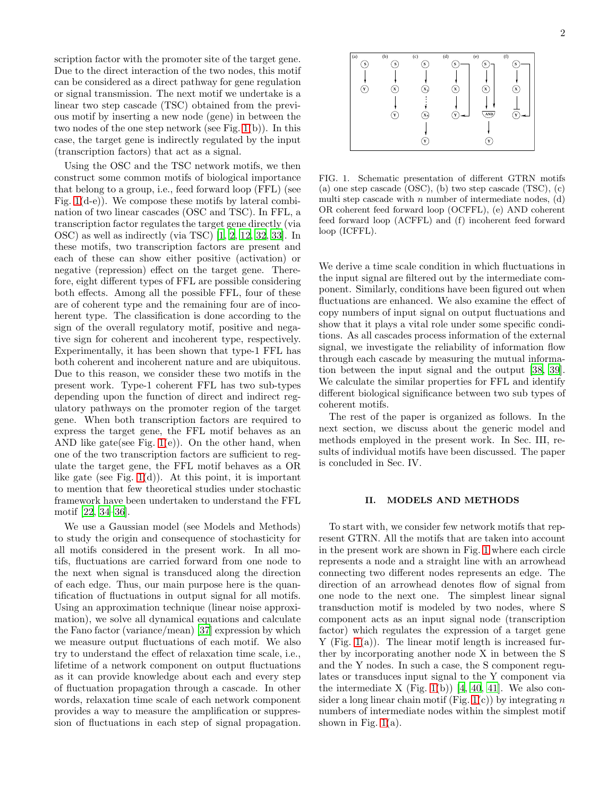scription factor with the promoter site of the target gene. Due to the direct interaction of the two nodes, this motif can be considered as a direct pathway for gene regulation or signal transmission. The next motif we undertake is a linear two step cascade (TSC) obtained from the previous motif by inserting a new node (gene) in between the two nodes of the one step network (see Fig. [1\(](#page-1-0)b)). In this case, the target gene is indirectly regulated by the input (transcription factors) that act as a signal.

Using the OSC and the TSC network motifs, we then construct some common motifs of biological importance that belong to a group, i.e., feed forward loop (FFL) (see Fig. [1\(](#page-1-0)d-e)). We compose these motifs by lateral combination of two linear cascades (OSC and TSC). In FFL, a transcription factor regulates the target gene directly (via OSC) as well as indirectly (via TSC) [\[1,](#page-12-0) [2](#page-12-13), [12,](#page-12-12) [32,](#page-13-4) [33](#page-13-5)]. In these motifs, two transcription factors are present and each of these can show either positive (activation) or negative (repression) effect on the target gene. Therefore, eight different types of FFL are possible considering both effects. Among all the possible FFL, four of these are of coherent type and the remaining four are of incoherent type. The classification is done according to the sign of the overall regulatory motif, positive and negative sign for coherent and incoherent type, respectively. Experimentally, it has been shown that type-1 FFL has both coherent and incoherent nature and are ubiquitous. Due to this reason, we consider these two motifs in the present work. Type-1 coherent FFL has two sub-types depending upon the function of direct and indirect regulatory pathways on the promoter region of the target gene. When both transcription factors are required to express the target gene, the FFL motif behaves as an AND like gate(see Fig.  $1(e)$ ). On the other hand, when one of the two transcription factors are sufficient to regulate the target gene, the FFL motif behaves as a OR like gate (see Fig.  $1(d)$ ). At this point, it is important to mention that few theoretical studies under stochastic framework have been undertaken to understand the FFL motif [\[22,](#page-12-14) [34](#page-13-6)[–36\]](#page-13-7).

We use a Gaussian model (see Models and Methods) to study the origin and consequence of stochasticity for all motifs considered in the present work. In all motifs, fluctuations are carried forward from one node to the next when signal is transduced along the direction of each edge. Thus, our main purpose here is the quantification of fluctuations in output signal for all motifs. Using an approximation technique (linear noise approximation), we solve all dynamical equations and calculate the Fano factor (variance/mean) [\[37\]](#page-13-8) expression by which we measure output fluctuations of each motif. We also try to understand the effect of relaxation time scale, i.e., lifetime of a network component on output fluctuations as it can provide knowledge about each and every step of fluctuation propagation through a cascade. In other words, relaxation time scale of each network component provides a way to measure the amplification or suppression of fluctuations in each step of signal propagation.



<span id="page-1-0"></span>FIG. 1. Schematic presentation of different GTRN motifs (a) one step cascade (OSC), (b) two step cascade (TSC), (c) multi step cascade with  $n$  number of intermediate nodes,  $(d)$ OR coherent feed forward loop (OCFFL), (e) AND coherent feed forward loop (ACFFL) and (f) incoherent feed forward loop (ICFFL).

We derive a time scale condition in which fluctuations in the input signal are filtered out by the intermediate component. Similarly, conditions have been figured out when fluctuations are enhanced. We also examine the effect of copy numbers of input signal on output fluctuations and show that it plays a vital role under some specific conditions. As all cascades process information of the external signal, we investigate the reliability of information flow through each cascade by measuring the mutual information between the input signal and the output [\[38](#page-13-9), [39\]](#page-13-10). We calculate the similar properties for FFL and identify different biological significance between two sub types of coherent motifs.

The rest of the paper is organized as follows. In the next section, we discuss about the generic model and methods employed in the present work. In Sec. III, results of individual motifs have been discussed. The paper is concluded in Sec. IV.

# II. MODELS AND METHODS

To start with, we consider few network motifs that represent GTRN. All the motifs that are taken into account in the present work are shown in Fig. [1](#page-1-0) where each circle represents a node and a straight line with an arrowhead connecting two different nodes represents an edge. The direction of an arrowhead denotes flow of signal from one node to the next one. The simplest linear signal transduction motif is modeled by two nodes, where S component acts as an input signal node (transcription factor) which regulates the expression of a target gene  $Y$  (Fig. [1\(](#page-1-0)a)). The linear motif length is increased further by incorporating another node X in between the S and the Y nodes. In such a case, the S component regulates or transduces input signal to the Y component via the intermediate X (Fig. [1\(](#page-1-0)b)) [\[4](#page-12-15), [40,](#page-13-11) [41\]](#page-13-12). We also consider a long linear chain motif (Fig.  $1(c)$ ) by integrating n numbers of intermediate nodes within the simplest motif shown in Fig.  $1(a)$ .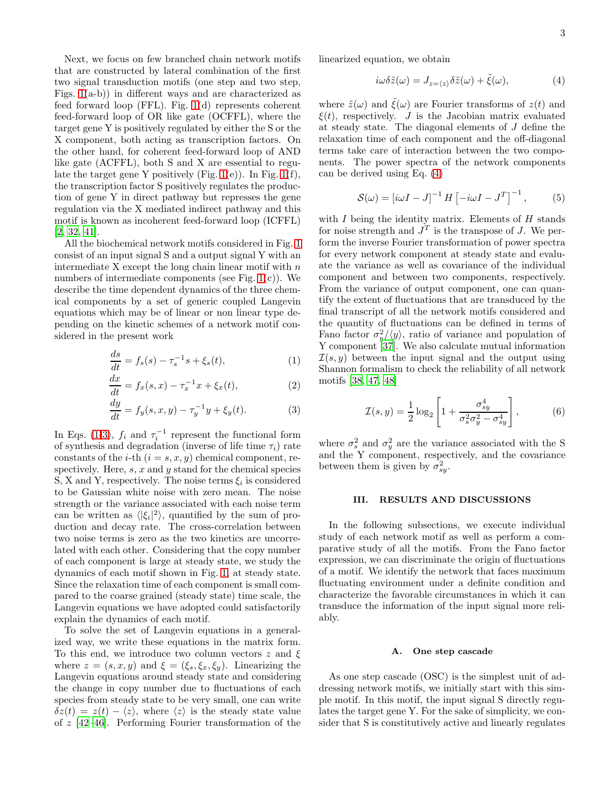Next, we focus on few branched chain network motifs that are constructed by lateral combination of the first two signal transduction motifs (one step and two step, Figs. [1\(](#page-1-0)a-b)) in different ways and are characterized as feed forward loop (FFL). Fig. [1\(](#page-1-0)d) represents coherent feed-forward loop of OR like gate (OCFFL), where the target gene Y is positively regulated by either the S or the X component, both acting as transcription factors. On the other hand, for coherent feed-forward loop of AND like gate (ACFFL), both S and X are essential to regulate the target gene Y positively (Fig.  $1(e)$ ). In Fig.  $1(f)$ , the transcription factor S positively regulates the production of gene Y in direct pathway but represses the gene regulation via the X mediated indirect pathway and this motif is known as incoherent feed-forward loop (ICFFL) [\[2,](#page-12-13) [32,](#page-13-4) [41\]](#page-13-12).

All the biochemical network motifs considered in Fig. [1](#page-1-0) consist of an input signal S and a output signal Y with an intermediate  $X$  except the long chain linear motif with  $n$ numbers of intermediate components (see Fig. [1\(](#page-1-0)c)). We describe the time dependent dynamics of the three chemical components by a set of generic coupled Langevin equations which may be of linear or non linear type depending on the kinetic schemes of a network motif considered in the present work

<span id="page-2-0"></span>
$$
\frac{ds}{dt} = f_s(s) - \tau_s^{-1} s + \xi_s(t),
$$
\n(1)

$$
\frac{dx}{dt} = f_x(s, x) - \tau_x^{-1} x + \xi_x(t),
$$
\n(2)

$$
\frac{dy}{dt} = f_y(s, x, y) - \tau_y^{-1} y + \xi_y(t). \tag{3}
$$

In Eqs. [\(1-3\)](#page-2-0),  $f_i$  and  $\tau_i^{-1}$  represent the functional form of synthesis and degradation (inverse of life time  $\tau_i$ ) rate constants of the *i*-th  $(i = s, x, y)$  chemical component, respectively. Here,  $s, x$  and  $y$  stand for the chemical species S, X and Y, respectively. The noise terms  $\xi_i$  is considered to be Gaussian white noise with zero mean. The noise strength or the variance associated with each noise term can be written as  $\langle |\xi_i|^2 \rangle$ , quantified by the sum of production and decay rate. The cross-correlation between two noise terms is zero as the two kinetics are uncorrelated with each other. Considering that the copy number of each component is large at steady state, we study the dynamics of each motif shown in Fig. [1,](#page-1-0) at steady state. Since the relaxation time of each component is small compared to the coarse grained (steady state) time scale, the Langevin equations we have adopted could satisfactorily explain the dynamics of each motif.

To solve the set of Langevin equations in a generalized way, we write these equations in the matrix form. To this end, we introduce two column vectors  $z$  and  $\xi$ where  $z = (s, x, y)$  and  $\xi = (\xi_s, \xi_x, \xi_y)$ . Linearizing the Langevin equations around steady state and considering the change in copy number due to fluctuations of each species from steady state to be very small, one can write  $\delta z(t) = z(t) - \langle z \rangle$ , where  $\langle z \rangle$  is the steady state value of z [\[42](#page-13-13)[–46](#page-13-14)]. Performing Fourier transformation of the

linearized equation, we obtain

<span id="page-2-1"></span>
$$
i\omega \delta \tilde{z}(\omega) = J_{z=\langle z \rangle} \delta \tilde{z}(\omega) + \tilde{\xi}(\omega), \tag{4}
$$

where  $\tilde{z}(\omega)$  and  $\tilde{\xi}(\omega)$  are Fourier transforms of  $z(t)$  and  $\xi(t)$ , respectively. *J* is the Jacobian matrix evaluated at steady state. The diagonal elements of J define the relaxation time of each component and the off-diagonal terms take care of interaction between the two components. The power spectra of the network components can be derived using Eq. [\(4\)](#page-2-1)

$$
S(\omega) = \left[i\omega I - J\right]^{-1} H \left[-i\omega I - J^T\right]^{-1},\tag{5}
$$

with  $I$  being the identity matrix. Elements of  $H$  stands for noise strength and  $J<sup>T</sup>$  is the transpose of J. We perform the inverse Fourier transformation of power spectra for every network component at steady state and evaluate the variance as well as covariance of the individual component and between two components, respectively. From the variance of output component, one can quantify the extent of fluctuations that are transduced by the final transcript of all the network motifs considered and the quantity of fluctuations can be defined in terms of Fano factor  $\sigma_y^2/\langle y \rangle$ , ratio of variance and population of Y component [\[37\]](#page-13-8). We also calculate mutual information  $\mathcal{I}(s, y)$  between the input signal and the output using Shannon formalism to check the reliability of all network motifs [\[38,](#page-13-9) [47,](#page-13-15) [48](#page-13-16)]

<span id="page-2-2"></span>
$$
\mathcal{I}(s,y) = \frac{1}{2}\log_2\left[1 + \frac{\sigma_{sy}^4}{\sigma_s^2 \sigma_y^2 - \sigma_{sy}^4}\right],\tag{6}
$$

where  $\sigma_s^2$  and  $\sigma_y^2$  are the variance associated with the S and the Y component, respectively, and the covariance between them is given by  $\sigma_{sy}^2$ .

# III. RESULTS AND DISCUSSIONS

In the following subsections, we execute individual study of each network motif as well as perform a comparative study of all the motifs. From the Fano factor expression, we can discriminate the origin of fluctuations of a motif. We identify the network that faces maximum fluctuating environment under a definite condition and characterize the favorable circumstances in which it can transduce the information of the input signal more reliably.

# A. One step cascade

As one step cascade (OSC) is the simplest unit of addressing network motifs, we initially start with this simple motif. In this motif, the input signal S directly regulates the target gene Y. For the sake of simplicity, we consider that S is constitutively active and linearly regulates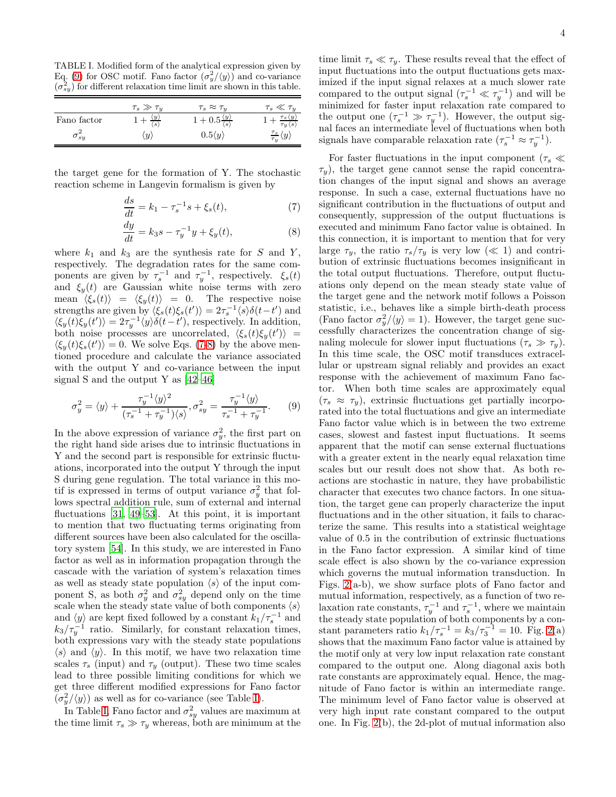<span id="page-3-2"></span>TABLE I. Modified form of the analytical expression given by Eq. [\(9\)](#page-3-0) for OSC motif. Fano factor  $(\sigma_y^2/\langle y \rangle)$  and co-variance  $(\sigma_{sy}^2)$  for different relaxation time limit are shown in this table.

|               | $\tau_s \gg \tau_u$                                       | $\tau_s \approx \tau_u$                            | $\tau_s\ll\tau_u$                                        |
|---------------|-----------------------------------------------------------|----------------------------------------------------|----------------------------------------------------------|
| Fano factor   | $\langle y \rangle$<br>$+$ $\overline{\langle s \rangle}$ | $1+0.5\frac{\langle y \rangle}{\langle s \rangle}$ | $+\frac{\tau_s\langle y\rangle}{\tau_y\langle s\rangle}$ |
| $\sigma_{sy}$ | u                                                         | $0.5\langle y \rangle$                             | $\frac{\tau_s}{\tau_y}\langle y\rangle$                  |

the target gene for the formation of Y. The stochastic reaction scheme in Langevin formalism is given by

<span id="page-3-1"></span>
$$
\frac{ds}{dt} = k_1 - \tau_s^{-1} s + \xi_s(t),\tag{7}
$$

$$
\frac{dy}{dt} = k_3 s - \tau_y^{-1} y + \xi_y(t),
$$
\n(8)

where  $k_1$  and  $k_3$  are the synthesis rate for S and Y, respectively. The degradation rates for the same components are given by  $\tau_s^{-1}$  and  $\tau_y^{-1}$ , respectively.  $\xi_s(t)$ and  $\xi_y(t)$  are Gaussian white noise terms with zero mean  $\langle \xi_s(t) \rangle = \langle \xi_y(t) \rangle = 0$ . The respective noise strengths are given by  $\langle \xi_s(t)\xi_s(t')\rangle = 2\tau_s^{-1}\langle s\rangle \delta(t-t')$  and  $\langle \xi_y(t) \xi_y(t') \rangle = 2\tau_y^{-1} \langle y \rangle \delta(t-t')$ , respectively. In addition, both noise processes are uncorrelated,  $\langle \xi_s(t) \xi_y(t') \rangle$  =  $\langle \xi_y(t)\xi_s(t')\rangle = 0$ . We solve Eqs. [\(7-8\)](#page-3-1) by the above mentioned procedure and calculate the variance associated with the output Y and co-variance between the input signal S and the output Y as [\[42](#page-13-13)[–46](#page-13-14)]

<span id="page-3-0"></span>
$$
\sigma_y^2 = \langle y \rangle + \frac{\tau_y^{-1} \langle y \rangle^2}{(\tau_s^{-1} + \tau_y^{-1}) \langle s \rangle}, \sigma_{sy}^2 = \frac{\tau_y^{-1} \langle y \rangle}{\tau_s^{-1} + \tau_y^{-1}}.
$$
 (9)

In the above expression of variance  $\sigma_y^2$ , the first part on the right hand side arises due to intrinsic fluctuations in Y and the second part is responsible for extrinsic fluctuations, incorporated into the output Y through the input S during gene regulation. The total variance in this motif is expressed in terms of output variance  $\sigma_y^2$  that follows spectral addition rule, sum of external and internal fluctuations [\[31](#page-13-3), [49](#page-13-17)[–53](#page-13-18)]. At this point, it is important to mention that two fluctuating terms originating from different sources have been also calculated for the oscillatory system [\[54\]](#page-13-19). In this study, we are interested in Fano factor as well as in information propagation through the cascade with the variation of system's relaxation times as well as steady state population  $\langle s \rangle$  of the input component S, as both  $\sigma_y^2$  and  $\sigma_{sy}^2$  depend only on the time scale when the steady state value of both components  $\langle s \rangle$ and  $\langle y \rangle$  are kept fixed followed by a constant  $k_1/\tau_s^{-1}$  and  $k_3/\tau_y^{-1}$  ratio. Similarly, for constant relaxation times, both expressions vary with the steady state populations  $\langle s \rangle$  and  $\langle y \rangle$ . In this motif, we have two relaxation time scales  $\tau_s$  (input) and  $\tau_y$  (output). These two time scales lead to three possible limiting conditions for which we get three different modified expressions for Fano factor  $(\sigma_y^2/\langle y \rangle)$  as well as for co-variance (see Table [I\)](#page-3-2).

In Table [I,](#page-3-2) Fano factor and  $\sigma_{sy}^2$  values are maximum at the time limit  $\tau_s \gg \tau_y$  whereas, both are minimum at the

time limit  $\tau_s \ll \tau_y$ . These results reveal that the effect of input fluctuations into the output fluctuations gets maximized if the input signal relaxes at a much slower rate compared to the output signal  $(\tau_s^{-1} \ll \tau_y^{-1})$  and will be minimized for faster input relaxation rate compared to the output one  $({\tau_s}^{-1} \gg {\tau_y}^{-1})$ . However, the output signal faces an intermediate level of fluctuations when both signals have comparable relaxation rate  $(\tau_s^{-1} \approx \tau_y^{-1})$ .

For faster fluctuations in the input component ( $\tau_s \ll$  $\tau_y$ ), the target gene cannot sense the rapid concentration changes of the input signal and shows an average response. In such a case, external fluctuations have no significant contribution in the fluctuations of output and consequently, suppression of the output fluctuations is executed and minimum Fano factor value is obtained. In this connection, it is important to mention that for very large  $\tau_y$ , the ratio  $\tau_s/\tau_y$  is very low  $(\ll 1)$  and contribution of extrinsic fluctuations becomes insignificant in the total output fluctuations. Therefore, output fluctuations only depend on the mean steady state value of the target gene and the network motif follows a Poisson statistic, i.e., behaves like a simple birth-death process (Fano factor  $\sigma_y^2/\langle y \rangle = 1$ ). However, the target gene successfully characterizes the concentration change of signaling molecule for slower input fluctuations  $(\tau_s \gg \tau_u)$ . In this time scale, the OSC motif transduces extracellular or upstream signal reliably and provides an exact response with the achievement of maximum Fano factor. When both time scales are approximately equal  $(\tau_s \approx \tau_u)$ , extrinsic fluctuations get partially incorporated into the total fluctuations and give an intermediate Fano factor value which is in between the two extreme cases, slowest and fastest input fluctuations. It seems apparent that the motif can sense external fluctuations with a greater extent in the nearly equal relaxation time scales but our result does not show that. As both reactions are stochastic in nature, they have probabilistic character that executes two chance factors. In one situation, the target gene can properly characterize the input fluctuations and in the other situation, it fails to characterize the same. This results into a statistical weightage value of 0.5 in the contribution of extrinsic fluctuations in the Fano factor expression. A similar kind of time scale effect is also shown by the co-variance expression which governs the mutual information transduction. In Figs. [2\(](#page-4-0)a-b), we show surface plots of Fano factor and mutual information, respectively, as a function of two relaxation rate constants,  $\tau_y^{-1}$  and  $\tau_s^{-1}$ , where we maintain the steady state population of both components by a constant parameters ratio  $k_1/\tau_s^{-1} = k_3/\tau_3^{-1} = 10$ . Fig. [2\(](#page-4-0)a) shows that the maximum Fano factor value is attained by the motif only at very low input relaxation rate constant compared to the output one. Along diagonal axis both rate constants are approximately equal. Hence, the magnitude of Fano factor is within an intermediate range. The minimum level of Fano factor value is observed at very high input rate constant compared to the output one. In Fig. [2\(](#page-4-0)b), the 2d-plot of mutual information also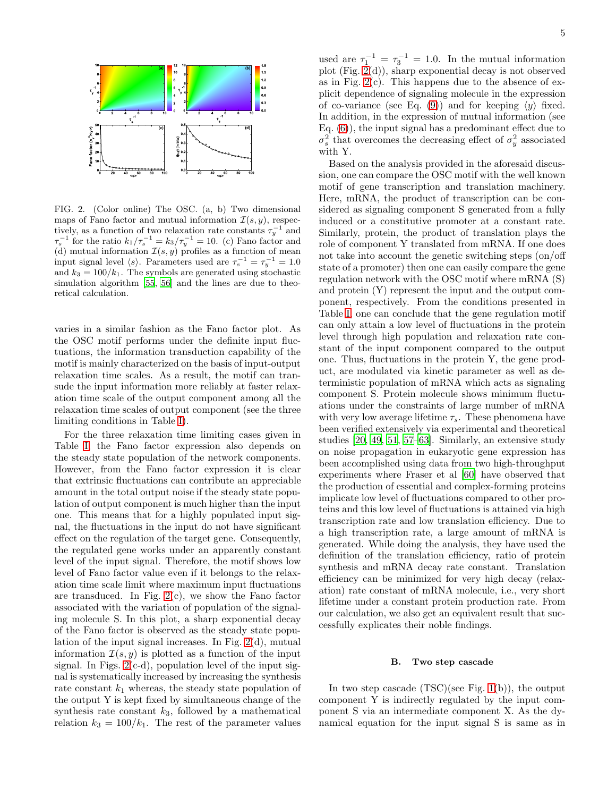

<span id="page-4-0"></span>FIG. 2. (Color online) The OSC. (a, b) Two dimensional maps of Fano factor and mutual information  $\mathcal{I}(s, y)$ , respectively, as a function of two relaxation rate constants  $\tau_y^{-1}$  and  $\tau_s^{-1}$  for the ratio  $k_1/\tau_s^{-1} = k_3/\tau_y^{-1} = 10$ . (c) Fano factor and (d) mutual information  $\mathcal{I}(s, y)$  profiles as a function of mean input signal level  $\langle s \rangle$ . Parameters used are  $\tau_s^{-1} = \tau_y^{-1} = 1.0$ and  $k_3 = 100/k_1$ . The symbols are generated using stochastic simulation algorithm [\[55,](#page-13-20) [56](#page-13-21)] and the lines are due to theoretical calculation.

varies in a similar fashion as the Fano factor plot. As the OSC motif performs under the definite input fluctuations, the information transduction capability of the motif is mainly characterized on the basis of input-output relaxation time scales. As a result, the motif can transude the input information more reliably at faster relaxation time scale of the output component among all the relaxation time scales of output component (see the three limiting conditions in Table [I\)](#page-3-2).

For the three relaxation time limiting cases given in Table [I,](#page-3-2) the Fano factor expression also depends on the steady state population of the network components. However, from the Fano factor expression it is clear that extrinsic fluctuations can contribute an appreciable amount in the total output noise if the steady state population of output component is much higher than the input one. This means that for a highly populated input signal, the fluctuations in the input do not have significant effect on the regulation of the target gene. Consequently, the regulated gene works under an apparently constant level of the input signal. Therefore, the motif shows low level of Fano factor value even if it belongs to the relaxation time scale limit where maximum input fluctuations are transduced. In Fig. [2\(](#page-4-0)c), we show the Fano factor associated with the variation of population of the signaling molecule S. In this plot, a sharp exponential decay of the Fano factor is observed as the steady state population of the input signal increases. In Fig. [2\(](#page-4-0)d), mutual information  $\mathcal{I}(s, y)$  is plotted as a function of the input signal. In Figs.  $2(c-d)$ , population level of the input signal is systematically increased by increasing the synthesis rate constant  $k_1$  whereas, the steady state population of the output Y is kept fixed by simultaneous change of the synthesis rate constant  $k_3$ , followed by a mathematical relation  $k_3 = 100/k_1$ . The rest of the parameter values

used are  $\tau_1^{-1} = \tau_3^{-1} = 1.0$ . In the mutual information plot (Fig. [2\(](#page-4-0)d)), sharp exponential decay is not observed as in Fig.  $2(c)$ . This happens due to the absence of explicit dependence of signaling molecule in the expression of co-variance (see Eq. [\(9\)](#page-3-0)) and for keeping  $\langle y \rangle$  fixed. In addition, in the expression of mutual information (see Eq. [\(6\)](#page-2-2)), the input signal has a predominant effect due to  $\sigma_s^2$  that overcomes the decreasing effect of  $\sigma_y^2$  associated with Y.

Based on the analysis provided in the aforesaid discussion, one can compare the OSC motif with the well known motif of gene transcription and translation machinery. Here, mRNA, the product of transcription can be considered as signaling component S generated from a fully induced or a constitutive promoter at a constant rate. Similarly, protein, the product of translation plays the role of component Y translated from mRNA. If one does not take into account the genetic switching steps (on/off state of a promoter) then one can easily compare the gene regulation network with the OSC motif where mRNA (S) and protein (Y) represent the input and the output component, respectively. From the conditions presented in Table [I,](#page-3-2) one can conclude that the gene regulation motif can only attain a low level of fluctuations in the protein level through high population and relaxation rate constant of the input component compared to the output one. Thus, fluctuations in the protein Y, the gene product, are modulated via kinetic parameter as well as deterministic population of mRNA which acts as signaling component S. Protein molecule shows minimum fluctuations under the constraints of large number of mRNA with very low average lifetime  $\tau_s$ . These phenomena have been verified extensively via experimental and theoretical studies [\[20](#page-12-10), [49](#page-13-17), [51,](#page-13-22) [57–](#page-13-23)[63\]](#page-13-24). Similarly, an extensive study on noise propagation in eukaryotic gene expression has been accomplished using data from two high-throughput experiments where Fraser et al [\[60](#page-13-25)] have observed that the production of essential and complex-forming proteins implicate low level of fluctuations compared to other proteins and this low level of fluctuations is attained via high transcription rate and low translation efficiency. Due to a high transcription rate, a large amount of mRNA is generated. While doing the analysis, they have used the definition of the translation efficiency, ratio of protein synthesis and mRNA decay rate constant. Translation efficiency can be minimized for very high decay (relaxation) rate constant of mRNA molecule, i.e., very short lifetime under a constant protein production rate. From our calculation, we also get an equivalent result that successfully explicates their noble findings.

# B. Two step cascade

In two step cascade  $(TSC)(see Fig. 1(b))$  $(TSC)(see Fig. 1(b))$  $(TSC)(see Fig. 1(b))$ , the output component Y is indirectly regulated by the input component S via an intermediate component X. As the dynamical equation for the input signal S is same as in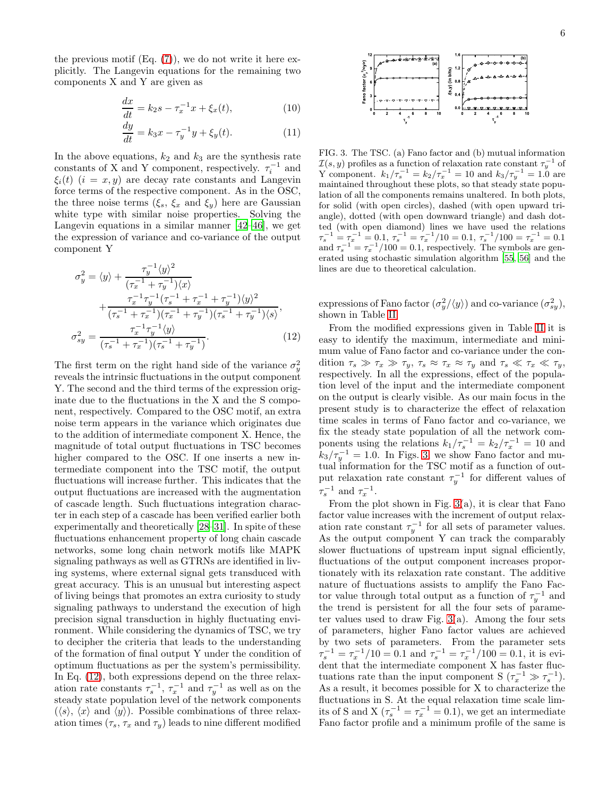the previous motif  $(Eq. (7))$  $(Eq. (7))$  $(Eq. (7))$ , we do not write it here explicitly. The Langevin equations for the remaining two components X and Y are given as

$$
\frac{dx}{dt} = k_2 s - \tau_x^{-1} x + \xi_x(t),
$$
\n(10)

$$
\frac{dy}{dt} = k_3 x - \tau_y^{-1} y + \xi_y(t). \tag{11}
$$

In the above equations,  $k_2$  and  $k_3$  are the synthesis rate constants of X and Y component, respectively.  $\tau_i^{-1}$  and  $\xi_i(t)$   $(i = x, y)$  are decay rate constants and Langevin force terms of the respective component. As in the OSC, the three noise terms  $(\xi_s, \xi_x \text{ and } \xi_y)$  here are Gaussian white type with similar noise properties. Solving the Langevin equations in a similar manner [\[42](#page-13-13)[–46](#page-13-14)], we get the expression of variance and co-variance of the output component Y

<span id="page-5-0"></span>
$$
\sigma_y^2 = \langle y \rangle + \frac{\tau_y^{-1} \langle y \rangle^2}{(\tau_x^{-1} + \tau_y^{-1}) \langle x \rangle} \n+ \frac{\tau_x^{-1} \tau_y^{-1} (\tau_s^{-1} + \tau_x^{-1} + \tau_y^{-1}) \langle y \rangle^2}{(\tau_s^{-1} + \tau_x^{-1}) (\tau_x^{-1} + \tau_y^{-1}) (\tau_s^{-1} + \tau_y^{-1}) \langle s \rangle}, \n\sigma_{sy}^2 = \frac{\tau_x^{-1} \tau_y^{-1} \langle y \rangle}{(\tau_s^{-1} + \tau_x^{-1}) (\tau_s^{-1} + \tau_y^{-1})}. \tag{12}
$$

The first term on the right hand side of the variance  $\sigma_y^2$ reveals the intrinsic fluctuations in the output component Y. The second and the third terms of the expression originate due to the fluctuations in the X and the S component, respectively. Compared to the OSC motif, an extra noise term appears in the variance which originates due to the addition of intermediate component X. Hence, the magnitude of total output fluctuations in TSC becomes higher compared to the OSC. If one inserts a new intermediate component into the TSC motif, the output fluctuations will increase further. This indicates that the output fluctuations are increased with the augmentation of cascade length. Such fluctuations integration character in each step of a cascade has been verified earlier both experimentally and theoretically [\[28](#page-13-2)[–31\]](#page-13-3). In spite of these fluctuations enhancement property of long chain cascade networks, some long chain network motifs like MAPK signaling pathways as well as GTRNs are identified in living systems, where external signal gets transduced with great accuracy. This is an unusual but interesting aspect of living beings that promotes an extra curiosity to study signaling pathways to understand the execution of high precision signal transduction in highly fluctuating environment. While considering the dynamics of TSC, we try to decipher the criteria that leads to the understanding of the formation of final output Y under the condition of optimum fluctuations as per the system's permissibility. In Eq. [\(12\)](#page-5-0), both expressions depend on the three relaxation rate constants  $\tau_s^{-1}$ ,  $\tau_x^{-1}$  and  $\tau_y^{-1}$  as well as on the steady state population level of the network components  $(\langle s \rangle, \langle x \rangle)$  and  $\langle y \rangle$ . Possible combinations of three relaxation times  $(\tau_s, \tau_x \text{ and } \tau_y)$  leads to nine different modified

6



<span id="page-5-1"></span>FIG. 3. The TSC. (a) Fano factor and (b) mutual information  $\mathcal{I}(s, y)$  profiles as a function of relaxation rate constant  $\tau_y^{-1}$  of Y component.  $k_1/\tau_s^{-1} = k_2/\tau_x^{-1} = 10$  and  $k_3/\tau_y^{-1} = 1.0$  are maintained throughout these plots, so that steady state population of all the components remains unaltered. In both plots, for solid (with open circles), dashed (with open upward triangle), dotted (with open downward triangle) and dash dotted (with open diamond) lines we have used the relations  $\tau_s^{-1} = \tau_x^{-1} = 0.1, \tau_s^{-1} = \tau_x^{-1}/10 = 0.1, \tau_s^{-1}/100 = \tau_x^{-1} = 0.1$ and  $\tau_s^{-1} = \tau_x^{-1}/100 = 0.1$ , respectively. The symbols are generated using stochastic simulation algorithm [\[55,](#page-13-20) [56\]](#page-13-21) and the lines are due to theoretical calculation.

expressions of Fano factor  $(\sigma_y^2/\langle y \rangle)$  and co-variance  $(\sigma_{sy}^2)$ , shown in Table [II.](#page-6-0)

From the modified expressions given in Table [II](#page-6-0) it is easy to identify the maximum, intermediate and minimum value of Fano factor and co-variance under the condition  $\tau_s \gg \tau_x \gg \tau_y$ ,  $\tau_s \approx \tau_x \approx \tau_y$  and  $\tau_s \ll \tau_x \ll \tau_y$ , respectively. In all the expressions, effect of the population level of the input and the intermediate component on the output is clearly visible. As our main focus in the present study is to characterize the effect of relaxation time scales in terms of Fano factor and co-variance, we fix the steady state population of all the network components using the relations  $k_1/\tau_s^{-1} = k_2/\tau_x^{-1} = 10$  and  $k_3/\tau_y^{-1} = 1.0$ . In Figs. [3,](#page-5-1) we show Fano factor and mutual information for the TSC motif as a function of output relaxation rate constant  $\tau_y^{-1}$  for different values of  $\tau_s^{-1}$  and  $\tau_x^{-1}$ .

From the plot shown in Fig. [3\(](#page-5-1)a), it is clear that Fano factor value increases with the increment of output relaxation rate constant  $\tau_y^{-1}$  for all sets of parameter values. As the output component Y can track the comparably slower fluctuations of upstream input signal efficiently, fluctuations of the output component increases proportionately with its relaxation rate constant. The additive nature of fluctuations assists to amplify the Fano Factor value through total output as a function of  $\tau_y^{-1}$  and the trend is persistent for all the four sets of parameter values used to draw Fig.  $3(a)$ . Among the four sets of parameters, higher Fano factor values are achieved by two sets of parameters. From the parameter sets  $\tau_s^{-1} = \tau_x^{-1}/10 = 0.1$  and  $\tau_s^{-1} = \tau_x^{-1}/100 = 0.1$ , it is evident that the intermediate component X has faster fluctuations rate than the input component S  $(\tau_x^{-1} \gg \tau_s^{-1}).$ As a result, it becomes possible for X to characterize the fluctuations in S. At the equal relaxation time scale limits of S and X  $(\tau_s^{-1} = \tau_x^{-1} = 0.1)$ , we get an intermediate Fano factor profile and a minimum profile of the same is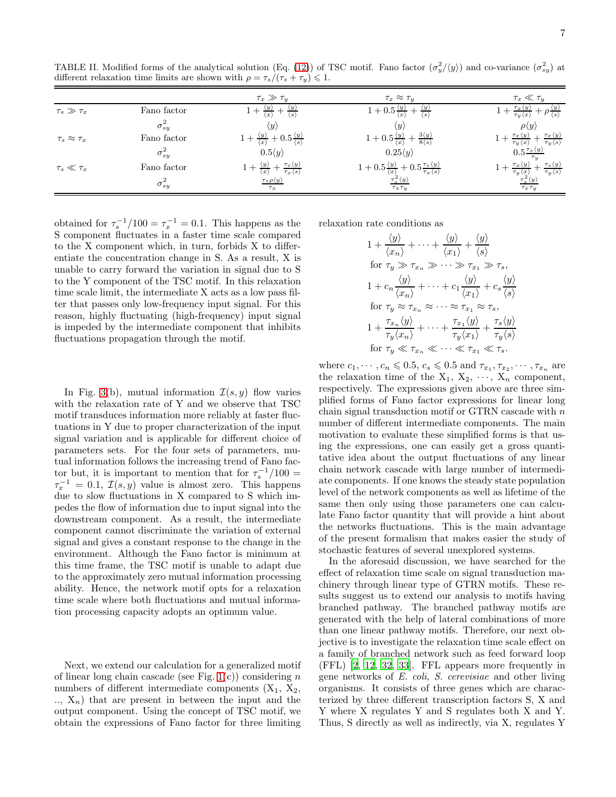<span id="page-6-0"></span>TABLE II. Modified forms of the analytical solution (Eq. [\(12\)](#page-5-0)) of TSC motif. Fano factor  $(\sigma_y^2/\langle y \rangle)$  and co-variance  $(\sigma_{sy}^2)$  at different relaxation time limits are shown with  $\rho = \tau_s/(\tau_s + \tau_y) \leq 1$ .

|                         |                 | $\tau_x \gg \tau_u$                                                                                 | $\tau_x \approx \tau_y$                                                                                   | $\tau_x \ll \tau_y$                                                                                                       |
|-------------------------|-----------------|-----------------------------------------------------------------------------------------------------|-----------------------------------------------------------------------------------------------------------|---------------------------------------------------------------------------------------------------------------------------|
| $\tau_s \gg \tau_x$     | Fano factor     | $\langle x \rangle$                                                                                 | $1+0.5\frac{\langle y\rangle}{\langle x\rangle}$<br>$+\frac{\langle y \rangle}{\langle s \rangle}$        | $+ \frac{\tau_x \langle y \rangle}{\tau_y \langle x \rangle}$<br>$+\rho \frac{\langle y \rangle}{\langle s \rangle}$      |
|                         | $\sigma_{s}^2$  | $\langle y \rangle$                                                                                 | $\langle y \rangle$                                                                                       | $\rho \langle y \rangle$                                                                                                  |
| $\tau_s \approx \tau_x$ | Fano factor     | $\frac{\langle y \rangle}{\langle x \rangle} + 0.5 \frac{\langle y \rangle}{\langle s \rangle}$     | $1+0.5\frac{\langle y\rangle}{\langle x\rangle}+\frac{3\langle y\rangle}{8\langle s\rangle}$              | $+\frac{\tau_x \langle y \rangle}{\tau_y \langle x \rangle} + \frac{\tau_x \langle y \rangle}{\tau_y \langle s \rangle}$  |
|                         | $\sigma_{sy}^2$ | $0.5\langle y \rangle$                                                                              | $0.25\langle y \rangle$                                                                                   | $0.5 \frac{\tau_s \langle y \rangle}{\tau_s}$                                                                             |
| $\tau_s\ll\tau_x$       | Fano factor     | $1+\frac{\langle y\rangle}{\langle x\rangle}+\frac{\tau_s\langle y\rangle}{\tau_x\langle s\rangle}$ | $1+0.5\frac{\langle y\rangle}{\langle x\rangle}+0.5\frac{\tau_s\langle y\rangle}{\tau_x\langle s\rangle}$ | $-\frac{\tau_{s}\langle y\rangle}{\tau_{y}\langle s\rangle}$<br>$1+\frac{\tau_x\langle y\rangle}{\tau_y\langle x\rangle}$ |
|                         | $\sigma_{sy}^2$ | $\tau_s \rho \langle y \rangle$<br>$\tau_x$                                                         | $\tau_s^2\langle y\rangle$<br>$\tau_x \tau_y$                                                             | $\tau_s^2\langle y\rangle$<br>$\tau_x \tau_y$                                                                             |

obtained for  $\tau_s^{-1}/100 = \tau_x^{-1} = 0.1$ . This happens as the S component fluctuates in a faster time scale compared to the X component which, in turn, forbids X to differentiate the concentration change in S. As a result, X is unable to carry forward the variation in signal due to S to the Y component of the TSC motif. In this relaxation time scale limit, the intermediate X acts as a low pass filter that passes only low-frequency input signal. For this reason, highly fluctuating (high-frequency) input signal is impeded by the intermediate component that inhibits fluctuations propagation through the motif.

In Fig. [3\(](#page-5-1)b), mutual information  $\mathcal{I}(s, y)$  flow varies with the relaxation rate of Y and we observe that TSC motif transduces information more reliably at faster fluctuations in Y due to proper characterization of the input signal variation and is applicable for different choice of parameters sets. For the four sets of parameters, mutual information follows the increasing trend of Fano factor but, it is important to mention that for  $\tau_s^{-1}/100 =$  $\tau_x^{-1} = 0.1, \mathcal{I}(s, y)$  value is almost zero. This happens due to slow fluctuations in X compared to S which impedes the flow of information due to input signal into the downstream component. As a result, the intermediate component cannot discriminate the variation of external signal and gives a constant response to the change in the environment. Although the Fano factor is minimum at this time frame, the TSC motif is unable to adapt due to the approximately zero mutual information processing ability. Hence, the network motif opts for a relaxation time scale where both fluctuations and mutual information processing capacity adopts an optimum value.

Next, we extend our calculation for a generalized motif of linear long chain cascade (see Fig.  $1(c)$ ) considering n numbers of different intermediate components  $(X_1, X_2, ...)$  $X_n$ ) that are present in between the input and the output component. Using the concept of TSC motif, we obtain the expressions of Fano factor for three limiting

relaxation rate conditions as

$$
1 + \frac{\langle y \rangle}{\langle x_n \rangle} + \dots + \frac{\langle y \rangle}{\langle x_1 \rangle} + \frac{\langle y \rangle}{\langle s \rangle}
$$
  
for  $\tau_y \gg \tau_{x_n} \gg \dots \gg \tau_{x_1} \gg \tau_s$ ,  

$$
1 + c_n \frac{\langle y \rangle}{\langle x_n \rangle} + \dots + c_1 \frac{\langle y \rangle}{\langle x_1 \rangle} + c_s \frac{\langle y \rangle}{\langle s \rangle}
$$
  
for  $\tau_y \approx \tau_{x_n} \approx \dots \approx \tau_{x_1} \approx \tau_s$ ,  

$$
1 + \frac{\tau_{x_n} \langle y \rangle}{\tau_y \langle x_n \rangle} + \dots + \frac{\tau_{x_1} \langle y \rangle}{\tau_y \langle x_1 \rangle} + \frac{\tau_s \langle y \rangle}{\tau_y \langle s \rangle}
$$
  
for  $\tau_y \ll \tau_{x_n} \ll \dots \ll \tau_{x_1} \ll \tau_s$ .

where  $c_1, \dots, c_n \leqslant 0.5, c_s \leqslant 0.5$  and  $\tau_{x_1}, \tau_{x_2}, \dots, \tau_{x_n}$  are the relaxation time of the  $X_1, X_2, \cdots, X_n$  component, respectively. The expressions given above are three simplified forms of Fano factor expressions for linear long chain signal transduction motif or GTRN cascade with n number of different intermediate components. The main motivation to evaluate these simplified forms is that using the expressions, one can easily get a gross quantitative idea about the output fluctuations of any linear chain network cascade with large number of intermediate components. If one knows the steady state population level of the network components as well as lifetime of the same then only using those parameters one can calculate Fano factor quantity that will provide a hint about the networks fluctuations. This is the main advantage of the present formalism that makes easier the study of stochastic features of several unexplored systems.

In the aforesaid discussion, we have searched for the effect of relaxation time scale on signal transduction machinery through linear type of GTRN motifs. These results suggest us to extend our analysis to motifs having branched pathway. The branched pathway motifs are generated with the help of lateral combinations of more than one linear pathway motifs. Therefore, our next objective is to investigate the relaxation time scale effect on a family of branched network such as feed forward loop (FFL) [\[2,](#page-12-13) [12,](#page-12-12) [32,](#page-13-4) [33\]](#page-13-5). FFL appears more frequently in gene networks of E. coli, S. cerevisiae and other living organisms. It consists of three genes which are characterized by three different transcription factors S, X and Y where X regulates Y and S regulates both X and Y. Thus, S directly as well as indirectly, via X, regulates Y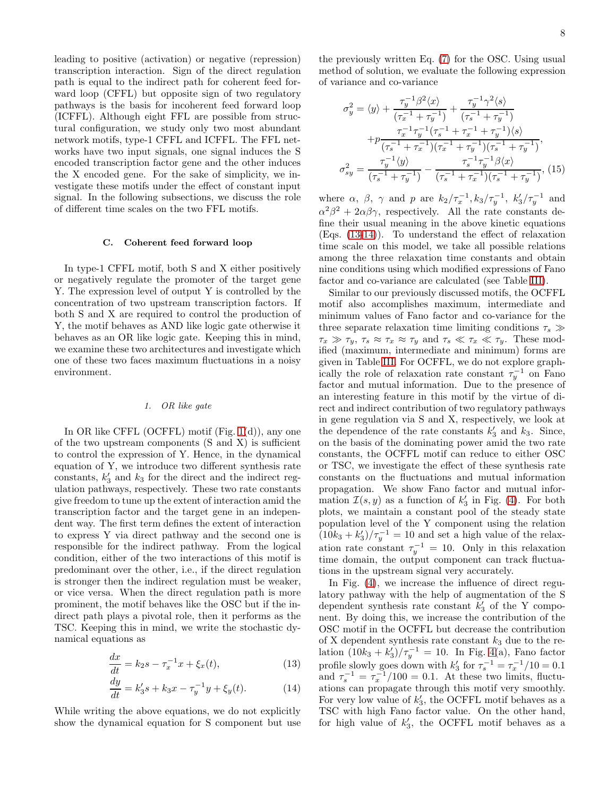leading to positive (activation) or negative (repression) transcription interaction. Sign of the direct regulation path is equal to the indirect path for coherent feed forward loop (CFFL) but opposite sign of two regulatory pathways is the basis for incoherent feed forward loop (ICFFL). Although eight FFL are possible from structural configuration, we study only two most abundant network motifs, type-1 CFFL and ICFFL. The FFL networks have two input signals, one signal induces the S encoded transcription factor gene and the other induces the X encoded gene. For the sake of simplicity, we investigate these motifs under the effect of constant input signal. In the following subsections, we discuss the role of different time scales on the two FFL motifs.

# C. Coherent feed forward loop

In type-1 CFFL motif, both S and X either positively or negatively regulate the promoter of the target gene Y. The expression level of output Y is controlled by the concentration of two upstream transcription factors. If both S and X are required to control the production of Y, the motif behaves as AND like logic gate otherwise it behaves as an OR like logic gate. Keeping this in mind, we examine these two architectures and investigate which one of these two faces maximum fluctuations in a noisy environment.

#### *1. OR like gate*

In OR like CFFL (OCFFL) motif (Fig. [1\(](#page-1-0)d)), any one of the two upstream components (S and X) is sufficient to control the expression of Y. Hence, in the dynamical equation of Y, we introduce two different synthesis rate constants,  $k_3'$  and  $k_3$  for the direct and the indirect regulation pathways, respectively. These two rate constants give freedom to tune up the extent of interaction amid the transcription factor and the target gene in an independent way. The first term defines the extent of interaction to express Y via direct pathway and the second one is responsible for the indirect pathway. From the logical condition, either of the two interactions of this motif is predominant over the other, i.e., if the direct regulation is stronger then the indirect regulation must be weaker, or vice versa. When the direct regulation path is more prominent, the motif behaves like the OSC but if the indirect path plays a pivotal role, then it performs as the TSC. Keeping this in mind, we write the stochastic dynamical equations as

<span id="page-7-0"></span>
$$
\frac{dx}{dt} = k_2 s - \tau_x^{-1} x + \xi_x(t),
$$
\n(13)

$$
\frac{dy}{dt} = k_3's + k_3x - \tau_y^{-1}y + \xi_y(t). \tag{14}
$$

While writing the above equations, we do not explicitly show the dynamical equation for S component but use

the previously written Eq. [\(7\)](#page-3-1) for the OSC. Using usual method of solution, we evaluate the following expression of variance and co-variance

<span id="page-7-1"></span>
$$
\sigma_y^2 = \langle y \rangle + \frac{\tau_y^{-1} \beta^2 \langle x \rangle}{(\tau_x^{-1} + \tau_y^{-1})} + \frac{\tau_y^{-1} \gamma^2 \langle s \rangle}{(\tau_s^{-1} + \tau_y^{-1})}
$$

$$
+ p \frac{\tau_x^{-1} \tau_y^{-1} (\tau_s^{-1} + \tau_x^{-1} + \tau_y^{-1}) \langle s \rangle}{(\tau_s^{-1} + \tau_x^{-1}) (\tau_x^{-1} + \tau_y^{-1}) (\tau_s^{-1} + \tau_y^{-1})},
$$

$$
\sigma_{sy}^2 = \frac{\tau_y^{-1} \langle y \rangle}{(\tau_s^{-1} + \tau_y^{-1})} - \frac{\tau_s^{-1} \tau_y^{-1} \beta \langle x \rangle}{(\tau_s^{-1} + \tau_x^{-1}) (\tau_s^{-1} + \tau_y^{-1})},
$$
(15)

where  $\alpha$ ,  $\beta$ ,  $\gamma$  and p are  $k_2/\tau_x^{-1}$ ,  $k_3/\tau_y^{-1}$ ,  $k_3'/\tau_y^{-1}$  and  $\alpha^2 \beta^2 + 2\alpha \beta \gamma$ , respectively. All the rate constants define their usual meaning in the above kinetic equations (Eqs. [\(13-14\)](#page-7-0)). To understand the effect of relaxation time scale on this model, we take all possible relations among the three relaxation time constants and obtain nine conditions using which modified expressions of Fano factor and co-variance are calculated (see Table [III\)](#page-8-0).

Similar to our previously discussed motifs, the OCFFL motif also accomplishes maximum, intermediate and minimum values of Fano factor and co-variance for the three separate relaxation time limiting conditions  $\tau_s \gg$  $\tau_x \gg \tau_y$ ,  $\tau_s \approx \tau_x \approx \tau_y$  and  $\tau_s \ll \tau_x \ll \tau_y$ . These modified (maximum, intermediate and minimum) forms are given in Table [III.](#page-8-0) For OCFFL, we do not explore graphically the role of relaxation rate constant  $\tau_y^{-1}$  on Fano factor and mutual information. Due to the presence of an interesting feature in this motif by the virtue of direct and indirect contribution of two regulatory pathways in gene regulation via S and X, respectively, we look at the dependence of the rate constants  $k'_3$  and  $k_3$ . Since, on the basis of the dominating power amid the two rate constants, the OCFFL motif can reduce to either OSC or TSC, we investigate the effect of these synthesis rate constants on the fluctuations and mutual information propagation. We show Fano factor and mutual information  $\mathcal{I}(s, y)$  as a function of  $k'_3$  in Fig. [\(4\)](#page-8-1). For both plots, we maintain a constant pool of the steady state population level of the Y component using the relation  $(10k_3 + k'_3)/\tau_y^{-1} = 10$  and set a high value of the relaxation rate constant  $\tau_y^{-1} = 10$ . Only in this relaxation time domain, the output component can track fluctuations in the upstream signal very accurately.

In Fig.  $(4)$ , we increase the influence of direct regulatory pathway with the help of augmentation of the S dependent synthesis rate constant  $k_3'$  of the Y component. By doing this, we increase the contribution of the OSC motif in the OCFFL but decrease the contribution of X dependent synthesis rate constant  $k_3$  due to the relation  $(10k_3 + k'_3)/\tau_y^{-1} = 10$ . In Fig. [4\(](#page-8-1)a), Fano factor profile slowly goes down with  $k'_3$  for  $\tau_s^{-1} = \tau_x^{-1}/10 = 0.1$ and  $\tau_s^{-1} = \tau_x^{-1}/100 = 0.1$ . At these two limits, fluctuations can propagate through this motif very smoothly. For very low value of  $k'_3$ , the OCFFL motif behaves as a TSC with high Fano factor value. On the other hand, for high value of  $k'_3$ , the OCFFL motif behaves as a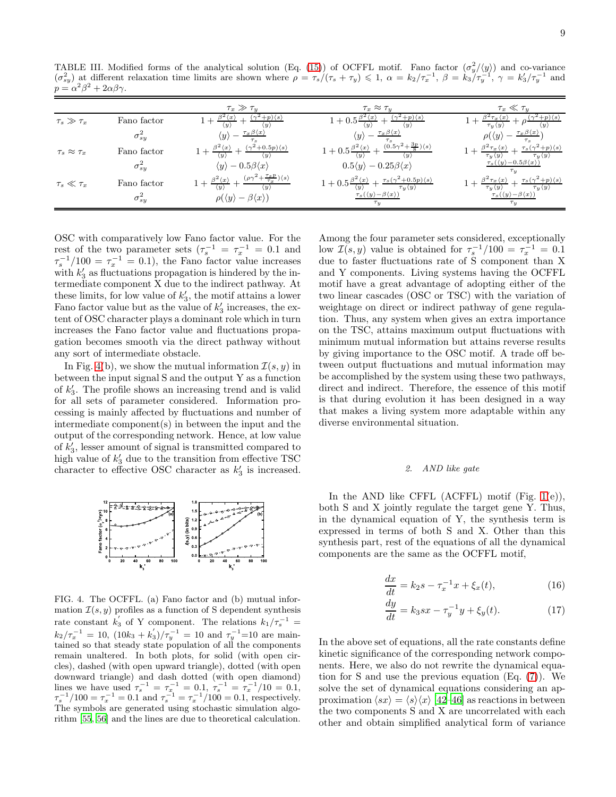<span id="page-8-0"></span>TABLE III. Modified forms of the analytical solution (Eq. [\(15\)](#page-7-1)) of OCFFL motif. Fano factor  $(\sigma_y^2/\langle y \rangle)$  and co-variance  $(\sigma_{sy}^2)$  at different relaxation time limits are shown where  $\rho = \tau_s/(\tau_s + \tau_y) \leq 1$ ,  $\alpha = k_2/\tau_x^{-1}$ ,  $\beta = k_3/\tau_y^{-1}$ ,  $\gamma = k_3'/\tau_y^{-1}$  and  $p = \alpha^2 \beta^2 + 2\alpha \beta \gamma.$ 

|                         |                 | $\tau_x \gg \tau_y$                                                                                                 | $\tau_x \approx \tau_y$                                                                                                                              | $\tau_x\ll\tau_y$                                                                                                                      |
|-------------------------|-----------------|---------------------------------------------------------------------------------------------------------------------|------------------------------------------------------------------------------------------------------------------------------------------------------|----------------------------------------------------------------------------------------------------------------------------------------|
| $\tau_s \gg \tau_x$     | Fano factor     | $(\gamma^2+p)\langle s\rangle$<br>$\langle y \rangle$                                                               | $(\gamma^2+p)\langle s\rangle$<br>$\langle y \rangle$                                                                                                | $(+p)\langle s\rangle$<br>$x^2 \tau_x \langle x \rangle$<br>$\tau_y \langle y \rangle$                                                 |
|                         | $\sigma_{sy}^2$ | $\tau_x \beta \langle x \rangle$<br>$\langle y \rangle$                                                             | $\tau_x \beta \langle x \rangle$<br>$\langle y \rangle$                                                                                              | $\tau_x \beta \langle x \rangle$<br>$\rho(\langle y \rangle)$                                                                          |
| $\tau_s \approx \tau_x$ | Fano factor     | $(\gamma^2+0.5p)\langle s\rangle$<br>$\beta^2 \langle x \rangle$                                                    | $(0.5\gamma^2+\frac{3p}{8})\langle s\rangle$<br>$1+0.5\frac{\beta^2\langle x\rangle}{\langle x\rangle}$                                              | $\tau_s(\gamma^2+p)\langle s\rangle$<br>$\frac{\beta^2 \tau_x \langle x \rangle}{\tau_y \langle y \rangle}$                            |
|                         | $\sigma_{sy}^2$ | $\langle y \rangle - 0.5\beta \langle x \rangle$                                                                    | $0.5\langle y \rangle - 0.25\beta\langle x \rangle$                                                                                                  | $\tau_s(\langle y \rangle - 0.5\beta\langle x \rangle)$<br>$\tau_u$                                                                    |
| $\tau_s\ll\tau_x$       | Fano factor     | $(\rho \gamma^2 + \frac{\tau_s p}{\tau_x}) \langle s \rangle$<br>$\beta^2 \langle x \rangle$<br>$\langle u \rangle$ | $1+0.5\frac{\beta^2\langle x\rangle}{\langle n\rangle}+\frac{\tau_s(\gamma^2+0.5p)\langle s\rangle}{\langle n\rangle}$<br>$\tau_u \langle y \rangle$ | $\tau_s(\gamma^2+p)\langle s\rangle$<br>$\beta^2 \tau_x \langle x \rangle$<br>$\tau_y \langle y \rangle$<br>$\tau_u \langle y \rangle$ |
|                         | $\sigma_{sy}^2$ | $\rho(\langle y \rangle - \beta \langle x \rangle)$                                                                 | $\tau_s(\langle y\rangle-\beta\langle x\rangle)$<br>$\tau_u$                                                                                         | $\tau_s(\langle y\rangle-\beta\langle x\rangle)$<br>$\tau_u$                                                                           |

OSC with comparatively low Fano factor value. For the rest of the two parameter sets  $(\tau_s^{-1} = \tau_x^{-1} = 0.1$  and  $\tau_s^{-1}/100 = \tau_x^{-1} = 0.1$ , the Fano factor value increases with  $k'_3$  as fluctuations propagation is hindered by the intermediate component X due to the indirect pathway. At these limits, for low value of  $k'_3$ , the motif attains a lower Fano factor value but as the value of  $k_3$  increases, the extent of OSC character plays a dominant role which in turn increases the Fano factor value and fluctuations propagation becomes smooth via the direct pathway without any sort of intermediate obstacle.

In Fig. [4\(](#page-8-1)b), we show the mutual information  $\mathcal{I}(s, y)$  in between the input signal S and the output Y as a function of  $k'_3$ . The profile shows an increasing trend and is valid for all sets of parameter considered. Information processing is mainly affected by fluctuations and number of intermediate component(s) in between the input and the output of the corresponding network. Hence, at low value of  $k'_3$ , lesser amount of signal is transmitted compared to high value of  $k_3'$  due to the transition from effective TSC character to effective OSC character as  $k'_3$  is increased.



<span id="page-8-1"></span>FIG. 4. The OCFFL. (a) Fano factor and (b) mutual information  $\mathcal{I}(s, y)$  profiles as a function of S dependent synthesis rate constant  $k'_3$  of Y component. The relations  $k_1/\tau_s^{-1}$  =  $k_2/\tau_x^{-1} = 10$ ,  $(10k_3 + k'_3)/\tau_y^{-1} = 10$  and  $\tau_y^{-1} = 10$  are maintained so that steady state population of all the components remain unaltered. In both plots, for solid (with open circles), dashed (with open upward triangle), dotted (with open downward triangle) and dash dotted (with open diamond) lines we have used  $\tau_s^{-1} = \tau_x^{-1} = 0.1, \tau_s^{-1} = \tau_x^{-1}/10 = 0.1,$  $\tau_s^{-1}/100 = \tau_x^{-1} = 0.1$  and  $\tau_s^{-1} = \tau_x^{-1}/100 = 0.1$ , respectively. The symbols are generated using stochastic simulation algorithm [\[55](#page-13-20), [56](#page-13-21)] and the lines are due to theoretical calculation.

Among the four parameter sets considered, exceptionally low  $\mathcal{I}(s, y)$  value is obtained for  $\tau_s^{-1}/100 = \tau_x^{-1} = 0.1$ due to faster fluctuations rate of S component than X and Y components. Living systems having the OCFFL motif have a great advantage of adopting either of the two linear cascades (OSC or TSC) with the variation of weightage on direct or indirect pathway of gene regulation. Thus, any system when gives an extra importance on the TSC, attains maximum output fluctuations with minimum mutual information but attains reverse results by giving importance to the OSC motif. A trade off between output fluctuations and mutual information may be accomplished by the system using these two pathways, direct and indirect. Therefore, the essence of this motif is that during evolution it has been designed in a way that makes a living system more adaptable within any diverse environmental situation.

### *2. AND like gate*

In the AND like CFFL  $(ACFFL)$  motif  $(Fig. 1(e)),$  $(Fig. 1(e)),$  $(Fig. 1(e)),$ both S and X jointly regulate the target gene Y. Thus, in the dynamical equation of Y, the synthesis term is expressed in terms of both S and X. Other than this synthesis part, rest of the equations of all the dynamical components are the same as the OCFFL motif,

$$
\frac{dx}{dt} = k_2 s - \tau_x^{-1} x + \xi_x(t),
$$
\n(16)

$$
\frac{dy}{dt} = k_3 sx - \tau_y^{-1} y + \xi_y(t). \tag{17}
$$

In the above set of equations, all the rate constants define kinetic significance of the corresponding network components. Here, we also do not rewrite the dynamical equation for S and use the previous equation (Eq. [\(7\)](#page-3-1)). We solve the set of dynamical equations considering an approximation  $\langle sx \rangle = \langle s \rangle \langle x \rangle$  [\[42](#page-13-13)[–46](#page-13-14)] as reactions in between the two components S and X are uncorrelated with each other and obtain simplified analytical form of variance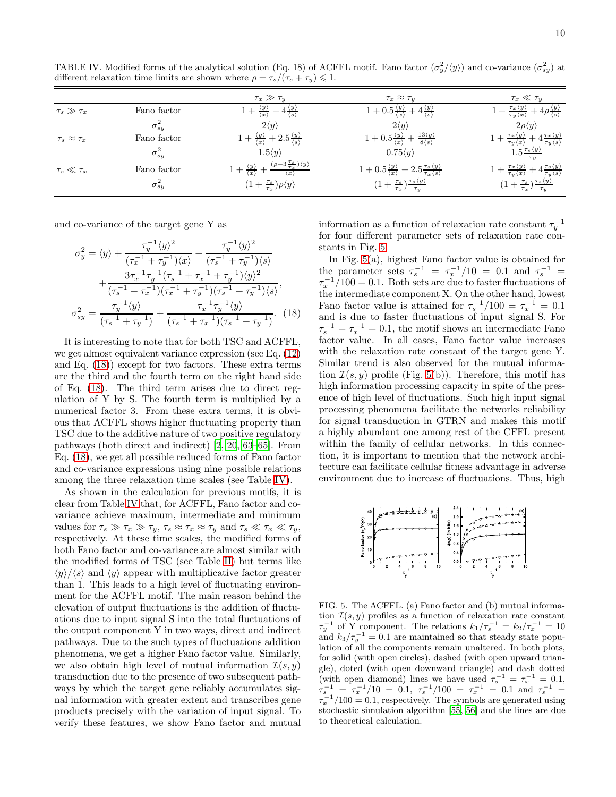<span id="page-9-1"></span>TABLE IV. Modified forms of the analytical solution (Eq. 18) of ACFFL motif. Fano factor  $(\sigma_y^2/\langle y \rangle)$  and co-variance  $(\sigma_{sy}^2)$  at different relaxation time limits are shown where  $\rho = \tau_s/(\tau_s + \tau_y) \leq 1$ .

|                         |                 | $\tau_x \gg \tau_y$                                                                                                     | $\tau_x \approx \tau_y$                                                                                             | $\tau_x \ll \tau_y$                                                                                                        |
|-------------------------|-----------------|-------------------------------------------------------------------------------------------------------------------------|---------------------------------------------------------------------------------------------------------------------|----------------------------------------------------------------------------------------------------------------------------|
| $\tau_s \gg \tau_x$     | Fano factor     | $4\frac{\langle y \rangle}{\langle s \rangle}$                                                                          | $1+0.5\frac{\langle y\rangle}{\langle x\rangle}+4\frac{\langle y\rangle}{\langle s\rangle}$                         | $1+\frac{\tau_x\langle y\rangle}{\tau_y\langle x\rangle}+4\rho\frac{\langle y\rangle}{\langle s\rangle}$                   |
|                         | $\sigma_{sy}^2$ | $2\langle y \rangle$                                                                                                    | $2\langle y \rangle$                                                                                                | $2\rho\langle y\rangle$                                                                                                    |
| $\tau_s \approx \tau_x$ | Fano factor     | $1+\frac{\langle y \rangle}{\langle x \rangle}+2.5\frac{\langle y \rangle}{\langle s \rangle}$                          | $1+0.5\frac{\langle y\rangle}{\langle x\rangle}+\frac{13\langle y\rangle}{8\langle s\rangle}$                       | $1+\frac{\tau_x\langle y\rangle}{\tau_y\langle x\rangle}+4\frac{\tau_x\langle y\rangle}{\tau_y\langle s\rangle}$           |
|                         | $\sigma_{sy}^2$ | $1.5\langle y \rangle$                                                                                                  | $0.75\langle y \rangle$                                                                                             | $1.5 \frac{\tau_s \langle y \rangle}{2}$                                                                                   |
| $\tau_s\ll\tau_x$       | Fano factor     | $(\rho+3\frac{\tau_s}{\tau_x})\langle y\rangle$<br>$\frac{\langle y \rangle}{\langle x \rangle}$<br>$\langle x \rangle$ | $1 + 0.5\frac{\langle y \rangle}{\langle x \rangle} + 2.5\frac{\tau_s \langle y \rangle}{\tau_x \langle s \rangle}$ | $+4\frac{\tau_s\langle y\rangle}{\tau_y\langle s\rangle}$<br>$1+\frac{\tau_{x}\langle y\rangle}{\tau_{y}\langle x\rangle}$ |
|                         | $\sigma_{sy}$   | $(1+\frac{\tau_s}{\tau_x})\rho\langle y\rangle$                                                                         | $(1+\frac{\tau_s}{\tau_x})\frac{\tau_s\langle y\rangle}{\tau_y}$                                                    | $(1+\frac{\tau_s}{\tau_x})\frac{\tau_s\langle y\rangle}{\tau_y}$                                                           |

and co-variance of the target gene Y as

<span id="page-9-0"></span>
$$
\sigma_y^2 = \langle y \rangle + \frac{\tau_y^{-1} \langle y \rangle^2}{(\tau_x^{-1} + \tau_y^{-1}) \langle x \rangle} + \frac{\tau_y^{-1} \langle y \rangle^2}{(\tau_s^{-1} + \tau_y^{-1}) \langle s \rangle} \n+ \frac{3\tau_x^{-1} \tau_y^{-1} (\tau_s^{-1} + \tau_x^{-1} + \tau_y^{-1}) \langle y \rangle^2}{(\tau_s^{-1} + \tau_x^{-1}) (\tau_x^{-1} + \tau_y^{-1}) (\tau_s^{-1} + \tau_y^{-1}) \langle s \rangle}, \n\sigma_{sy}^2 = \frac{\tau_y^{-1} \langle y \rangle}{(\tau_s^{-1} + \tau_y^{-1})} + \frac{\tau_x^{-1} \tau_y^{-1} \langle y \rangle}{(\tau_s^{-1} + \tau_x^{-1}) (\tau_s^{-1} + \tau_y^{-1})}. \tag{18}
$$

It is interesting to note that for both TSC and ACFFL, we get almost equivalent variance expression (see Eq. [\(12\)](#page-5-0) and Eq. [\(18\)](#page-9-0)) except for two factors. These extra terms are the third and the fourth term on the right hand side of Eq. [\(18\)](#page-9-0). The third term arises due to direct regulation of Y by S. The fourth term is multiplied by a numerical factor 3. From these extra terms, it is obvious that ACFFL shows higher fluctuating property than TSC due to the additive nature of two positive regulatory pathways (both direct and indirect) [\[2,](#page-12-13) [20,](#page-12-10) [63](#page-13-24)[–65\]](#page-13-26). From Eq. [\(18\)](#page-9-0), we get all possible reduced forms of Fano factor and co-variance expressions using nine possible relations among the three relaxation time scales (see Table [IV\)](#page-9-1).

As shown in the calculation for previous motifs, it is clear from Table [IV](#page-9-1) that, for ACFFL, Fano factor and covariance achieve maximum, intermediate and minimum values for  $\tau_s \gg \tau_x \gg \tau_y$ ,  $\tau_s \approx \tau_x \approx \tau_y$  and  $\tau_s \ll \tau_x \ll \tau_y$ , respectively. At these time scales, the modified forms of both Fano factor and co-variance are almost similar with the modified forms of TSC (see Table [II\)](#page-6-0) but terms like  $\langle y \rangle / \langle s \rangle$  and  $\langle y \rangle$  appear with multiplicative factor greater than 1. This leads to a high level of fluctuating environment for the ACFFL motif. The main reason behind the elevation of output fluctuations is the addition of fluctuations due to input signal S into the total fluctuations of the output component Y in two ways, direct and indirect pathways. Due to the such types of fluctuations addition phenomena, we get a higher Fano factor value. Similarly, we also obtain high level of mutual information  $\mathcal{I}(s, y)$ transduction due to the presence of two subsequent pathways by which the target gene reliably accumulates signal information with greater extent and transcribes gene products precisely with the variation of input signal. To verify these features, we show Fano factor and mutual

information as a function of relaxation rate constant  $\tau_y^{-1}$ for four different parameter sets of relaxation rate constants in Fig. [5.](#page-9-2)

In Fig. [5\(](#page-9-2)a), highest Fano factor value is obtained for the parameter sets  $\tau_s^{-1} = \tau_x^{-1}/10 = 0.1$  and  $\tau_s^{-1} =$  $\tau_x^{-1}/100 = 0.1$ . Both sets are due to faster fluctuations of the intermediate component X. On the other hand, lowest Fano factor value is attained for  $\tau_s^{-1}/100 = \tau_x^{-1} = 0.1$ and is due to faster fluctuations of input signal S. For  $\tau_s^{-1} = \tau_x^{-1} = 0.1$ , the motif shows an intermediate Fano factor value. In all cases, Fano factor value increases with the relaxation rate constant of the target gene Y. Similar trend is also observed for the mutual information  $\mathcal{I}(s, y)$  profile (Fig. [5\(](#page-9-2)b)). Therefore, this motif has high information processing capacity in spite of the presence of high level of fluctuations. Such high input signal processing phenomena facilitate the networks reliability for signal transduction in GTRN and makes this motif a highly abundant one among rest of the CFFL present within the family of cellular networks. In this connection, it is important to mention that the network architecture can facilitate cellular fitness advantage in adverse environment due to increase of fluctuations. Thus, high



<span id="page-9-2"></span>FIG. 5. The ACFFL. (a) Fano factor and (b) mutual information  $\mathcal{I}(s, y)$  profiles as a function of relaxation rate constant  $\tau_y^{-1}$  of Y component. The relations  $k_1/\tau_s^{-1} = k_2/\tau_x^{-1} = 10$ and  $k_3/\tau_y^{-1} = 0.1$  are maintained so that steady state population of all the components remain unaltered. In both plots, for solid (with open circles), dashed (with open upward triangle), doted (with open downward triangle) and dash dotted (with open diamond) lines we have used  $\tau_s^{-1} = \tau_x^{-1} = 0.1$ ,  $\tau_s^{-1} = \tau_x^{-1}/10 = 0.1, \tau_s^{-1}/100 = \tau_x^{-1} = 0.1 \text{ and } \tau_s^{-1} = 0.1$  $\tau_x^{-1}/100 = 0.1$ , respectively. The symbols are generated using stochastic simulation algorithm [\[55,](#page-13-20) [56](#page-13-21)] and the lines are due to theoretical calculation.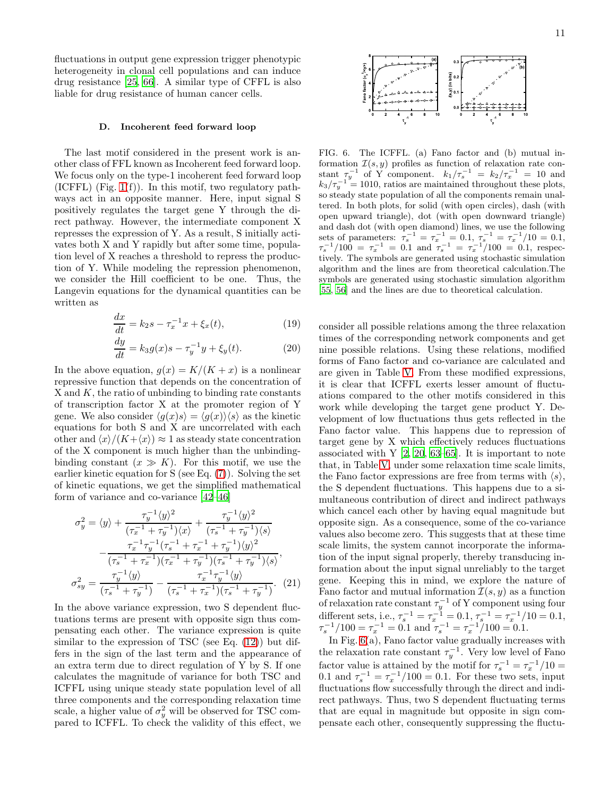fluctuations in output gene expression trigger phenotypic heterogeneity in clonal cell populations and can induce drug resistance [\[25](#page-12-16), [66\]](#page-13-27). A similar type of CFFL is also liable for drug resistance of human cancer cells.

#### D. Incoherent feed forward loop

The last motif considered in the present work is another class of FFL known as Incoherent feed forward loop. We focus only on the type-1 incoherent feed forward loop (ICFFL) (Fig.  $1(f)$ ). In this motif, two regulatory pathways act in an opposite manner. Here, input signal S positively regulates the target gene Y through the direct pathway. However, the intermediate component X represses the expression of Y. As a result, S initially activates both X and Y rapidly but after some time, population level of X reaches a threshold to repress the production of Y. While modeling the repression phenomenon, we consider the Hill coefficient to be one. Thus, the Langevin equations for the dynamical quantities can be written as

$$
\frac{dx}{dt} = k_2 s - \tau_x^{-1} x + \xi_x(t),
$$
\n(19)

$$
\frac{dy}{dt} = k_3 g(x)s - \tau_y^{-1} y + \xi_y(t).
$$
 (20)

In the above equation,  $g(x) = K/(K + x)$  is a nonlinear repressive function that depends on the concentration of  $X$  and  $K$ , the ratio of unbinding to binding rate constants of transcription factor X at the promoter region of Y gene. We also consider  $\langle g(x)s \rangle = \langle g(x)\rangle \langle s \rangle$  as the kinetic equations for both S and X are uncorrelated with each other and  $\langle x \rangle/(K+\langle x \rangle) \approx 1$  as steady state concentration of the X component is much higher than the unbindingbinding constant  $(x \gg K)$ . For this motif, we use the earlier kinetic equation for S (see Eq. [\(7\)](#page-3-1)). Solving the set of kinetic equations, we get the simplified mathematical form of variance and co-variance [\[42](#page-13-13)[–46\]](#page-13-14)

<span id="page-10-1"></span>
$$
\sigma_y^2 = \langle y \rangle + \frac{\tau_y^{-1} \langle y \rangle^2}{(\tau_x^{-1} + \tau_y^{-1}) \langle x \rangle} + \frac{\tau_y^{-1} \langle y \rangle^2}{(\tau_s^{-1} + \tau_y^{-1}) \langle s \rangle} \n- \frac{\tau_x^{-1} \tau_y^{-1} (\tau_s^{-1} + \tau_x^{-1} + \tau_y^{-1}) \langle y \rangle^2}{(\tau_s^{-1} + \tau_x^{-1}) (\tau_x^{-1} + \tau_y^{-1}) (\tau_s^{-1} + \tau_y^{-1}) \langle s \rangle}, \n\sigma_{sy}^2 = \frac{\tau_y^{-1} \langle y \rangle}{(\tau_s^{-1} + \tau_y^{-1})} - \frac{\tau_x^{-1} \tau_y^{-1} \langle y \rangle}{(\tau_s^{-1} + \tau_x^{-1}) (\tau_s^{-1} + \tau_y^{-1})}. (21)
$$

In the above variance expression, two S dependent fluctuations terms are present with opposite sign thus compensating each other. The variance expression is quite similar to the expression of TSC (see Eq.  $(12)$ ) but differs in the sign of the last term and the appearance of an extra term due to direct regulation of Y by S. If one calculates the magnitude of variance for both TSC and ICFFL using unique steady state population level of all three components and the corresponding relaxation time scale, a higher value of  $\sigma_y^2$  will be observed for TSC compared to ICFFL. To check the validity of this effect, we



<span id="page-10-0"></span>FIG. 6. The ICFFL. (a) Fano factor and (b) mutual information  $\mathcal{I}(s, y)$  profiles as function of relaxation rate constant  $\tau_y^{-1}$  of Y component.  $k_1/\tau_s^{-1} = k_2/\tau_x^{-1} = 10$  and  $k_3/\tau_y^{-1} = 1010$ , ratios are maintained throughout these plots, so steady state population of all the components remain unaltered. In both plots, for solid (with open circles), dash (with open upward triangle), dot (with open downward triangle) and dash dot (with open diamond) lines, we use the following sets of parameters:  $\tau_s^{-1} = \tau_x^{-1} = 0.1, \ \tau_s^{-1} = \tau_x^{-1}/10 = 0.1,$  $\tau_s^{-1}/100 = \tau_x^{-1} = 0.1$  and  $\tau_s^{-1} = \tau_x^{-1}/100 = 0.1$ , respectively. The symbols are generated using stochastic simulation algorithm and the lines are from theoretical calculation.The symbols are generated using stochastic simulation algorithm [\[55,](#page-13-20) [56\]](#page-13-21) and the lines are due to theoretical calculation.

consider all possible relations among the three relaxation times of the corresponding network components and get nine possible relations. Using these relations, modified forms of Fano factor and co-variance are calculated and are given in Table [V.](#page-11-0) From these modified expressions, it is clear that ICFFL exerts lesser amount of fluctuations compared to the other motifs considered in this work while developing the target gene product Y. Development of low fluctuations thus gets reflected in the Fano factor value. This happens due to repression of target gene by X which effectively reduces fluctuations associated with  $Y$  [\[2,](#page-12-13) [20,](#page-12-10) [63](#page-13-24)[–65\]](#page-13-26). It is important to note that, in Table [V,](#page-11-0) under some relaxation time scale limits, the Fano factor expressions are free from terms with  $\langle s \rangle$ , the S dependent fluctuations. This happens due to a simultaneous contribution of direct and indirect pathways which cancel each other by having equal magnitude but opposite sign. As a consequence, some of the co-variance values also become zero. This suggests that at these time scale limits, the system cannot incorporate the information of the input signal properly, thereby transducing information about the input signal unreliably to the target gene. Keeping this in mind, we explore the nature of Fano factor and mutual information  $\mathcal{I}(s, y)$  as a function of relaxation rate constant  $\tau_y^{-1}$  of Y component using four different sets, i.e.,  $\tau_s^{-1} = \tau_x^{-1} = 0.1$ ,  $\tau_s^{-1} = \tau_x^{-1}/10 = 0.1$ ,  $\tau_s^{-1}/100 = \tau_x^{-1} = 0.1$  and  $\tau_s^{-1} = \tau_x^{-1}/100 = 0.1$ .

In Fig. [6\(](#page-10-0)a), Fano factor value gradually increases with the relaxation rate constant  $\tau_y^{-1}$ . Very low level of Fano factor value is attained by the motif for  $\tau_s^{-1} = \tau_x^{-1}/10 =$ 0.1 and  $\tau_s^{-1} = \tau_x^{-1}/100 = 0.1$ . For these two sets, input fluctuations flow successfully through the direct and indirect pathways. Thus, two S dependent fluctuating terms that are equal in magnitude but opposite in sign compensate each other, consequently suppressing the fluctu-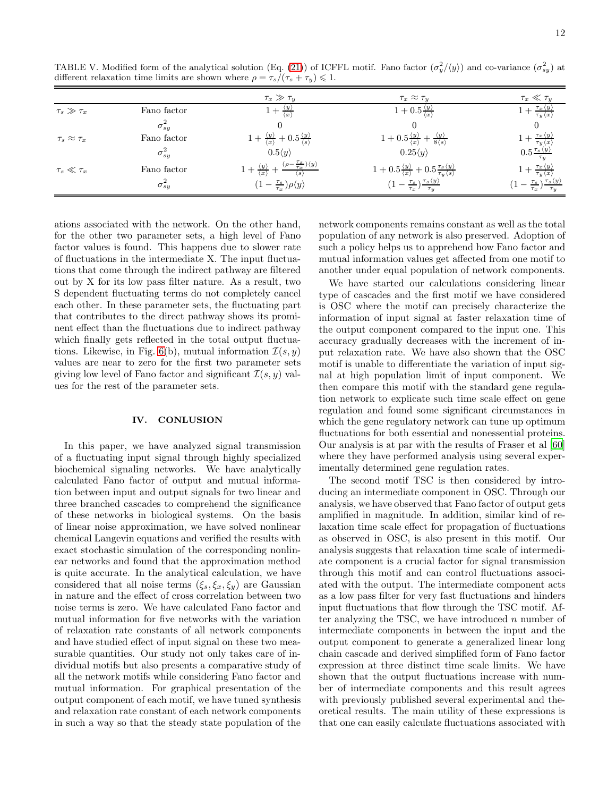<span id="page-11-0"></span>TABLE V. Modified form of the analytical solution (Eq. [\(21\)](#page-10-1)) of ICFFL motif. Fano factor  $(\sigma_y^2/\langle y \rangle)$  and co-variance  $(\sigma_{sy}^2)$  at different relaxation time limits are shown where  $\rho = \tau_s/(\tau_s + \tau_y) \leq 1$ .

|                         |                 | $\tau_x \gg \tau_y$                                                                                 | $\tau_x \approx \tau_y$                                                                                             | $\tau_x \ll \tau_y$                                                    |
|-------------------------|-----------------|-----------------------------------------------------------------------------------------------------|---------------------------------------------------------------------------------------------------------------------|------------------------------------------------------------------------|
| $\tau_s \gg \tau_x$     | Fano factor     | $1+\frac{\langle y \rangle}{\langle x \rangle}$                                                     | $1 + 0.5 \frac{\langle y \rangle}{\langle x \rangle}$                                                               | $1+\frac{\tau_x\langle y\rangle}{\tau_y\langle x\rangle}$              |
|                         | $\sigma_{sy}^2$ |                                                                                                     |                                                                                                                     |                                                                        |
| $\tau_s \approx \tau_x$ | Fano factor     | $+\frac{\langle y \rangle}{\langle x \rangle}+0.5\frac{\langle y \rangle}{\langle s \rangle}$       | $1+0.5\frac{\langle y\rangle}{\langle x\rangle}+\frac{\langle y\rangle}{8\langle s\rangle}$                         | $1+\frac{\tau_x\langle y\rangle}{\tau_y\langle x\rangle}$              |
|                         | $\sigma_{sy}^2$ | $0.5\langle y \rangle$                                                                              | $0.25\langle y \rangle$                                                                                             | $0.5\frac{\tau_s\langle y \rangle}{\tau_y}$                            |
| $\tau_s\ll\tau_x$       | Fano factor     | $(\rho - \frac{\tau_s}{\tau_x})\langle y \rangle$<br>$1+\frac{\langle y\rangle}{\langle x\rangle}+$ | $1 + 0.5\frac{\langle y \rangle}{\langle x \rangle} + 0.5\frac{\tau_s \langle y \rangle}{\tau_y \langle s \rangle}$ | $1+\frac{\tau_x\langle y\rangle}{\tau_y\langle x\rangle}$              |
|                         | $\sigma_{sy}^2$ | $(1-\frac{\tau_s}{\tau_x})\rho\langle y\rangle$                                                     | $(1-\frac{\tau_s}{\tau_x})\frac{\tau_s\langle y\rangle}{\tau_y}$                                                    | $\tau = \frac{\tau_s}{\tau_x} \frac{\tau_s \langle y \rangle}{\tau_y}$ |

ations associated with the network. On the other hand, for the other two parameter sets, a high level of Fano factor values is found. This happens due to slower rate of fluctuations in the intermediate X. The input fluctuations that come through the indirect pathway are filtered out by X for its low pass filter nature. As a result, two S dependent fluctuating terms do not completely cancel each other. In these parameter sets, the fluctuating part that contributes to the direct pathway shows its prominent effect than the fluctuations due to indirect pathway which finally gets reflected in the total output fluctua-tions. Likewise, in Fig. [6\(](#page-10-0)b), mutual information  $\mathcal{I}(s, y)$ values are near to zero for the first two parameter sets giving low level of Fano factor and significant  $\mathcal{I}(s, y)$  values for the rest of the parameter sets.

# IV. CONLUSION

In this paper, we have analyzed signal transmission of a fluctuating input signal through highly specialized biochemical signaling networks. We have analytically calculated Fano factor of output and mutual information between input and output signals for two linear and three branched cascades to comprehend the significance of these networks in biological systems. On the basis of linear noise approximation, we have solved nonlinear chemical Langevin equations and verified the results with exact stochastic simulation of the corresponding nonlinear networks and found that the approximation method is quite accurate. In the analytical calculation, we have considered that all noise terms  $(\xi_s, \xi_x, \xi_y)$  are Gaussian in nature and the effect of cross correlation between two noise terms is zero. We have calculated Fano factor and mutual information for five networks with the variation of relaxation rate constants of all network components and have studied effect of input signal on these two measurable quantities. Our study not only takes care of individual motifs but also presents a comparative study of all the network motifs while considering Fano factor and mutual information. For graphical presentation of the output component of each motif, we have tuned synthesis and relaxation rate constant of each network components in such a way so that the steady state population of the

network components remains constant as well as the total population of any network is also preserved. Adoption of such a policy helps us to apprehend how Fano factor and mutual information values get affected from one motif to another under equal population of network components.

We have started our calculations considering linear type of cascades and the first motif we have considered is OSC where the motif can precisely characterize the information of input signal at faster relaxation time of the output component compared to the input one. This accuracy gradually decreases with the increment of input relaxation rate. We have also shown that the OSC motif is unable to differentiate the variation of input signal at high population limit of input component. We then compare this motif with the standard gene regulation network to explicate such time scale effect on gene regulation and found some significant circumstances in which the gene regulatory network can tune up optimum fluctuations for both essential and nonessential proteins. Our analysis is at par with the results of Fraser et al [\[60](#page-13-25)] where they have performed analysis using several experimentally determined gene regulation rates.

The second motif TSC is then considered by introducing an intermediate component in OSC. Through our analysis, we have observed that Fano factor of output gets amplified in magnitude. In addition, similar kind of relaxation time scale effect for propagation of fluctuations as observed in OSC, is also present in this motif. Our analysis suggests that relaxation time scale of intermediate component is a crucial factor for signal transmission through this motif and can control fluctuations associated with the output. The intermediate component acts as a low pass filter for very fast fluctuations and hinders input fluctuations that flow through the TSC motif. After analyzing the TSC, we have introduced  $n$  number of intermediate components in between the input and the output component to generate a generalized linear long chain cascade and derived simplified form of Fano factor expression at three distinct time scale limits. We have shown that the output fluctuations increase with number of intermediate components and this result agrees with previously published several experimental and theoretical results. The main utility of these expressions is that one can easily calculate fluctuations associated with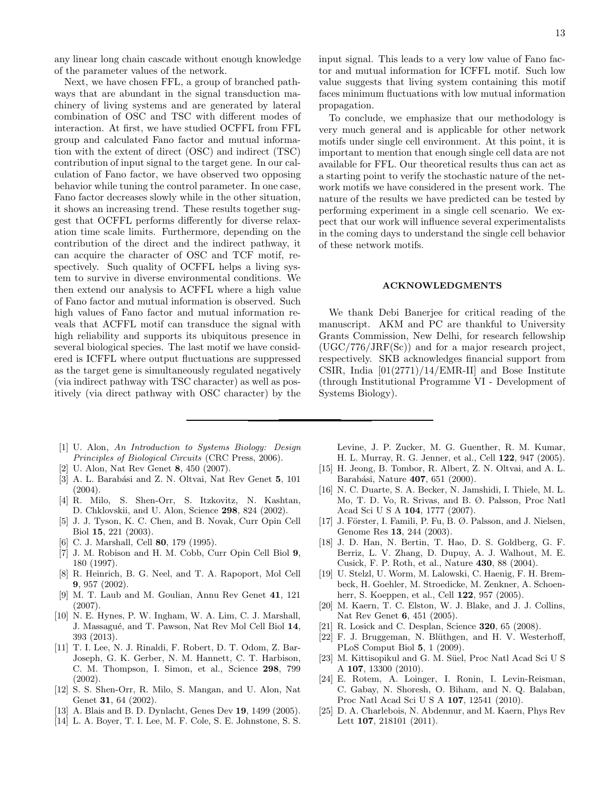any linear long chain cascade without enough knowledge of the parameter values of the network.

Next, we have chosen FFL, a group of branched pathways that are abundant in the signal transduction machinery of living systems and are generated by lateral combination of OSC and TSC with different modes of interaction. At first, we have studied OCFFL from FFL group and calculated Fano factor and mutual information with the extent of direct (OSC) and indirect (TSC) contribution of input signal to the target gene. In our calculation of Fano factor, we have observed two opposing behavior while tuning the control parameter. In one case, Fano factor decreases slowly while in the other situation, it shows an increasing trend. These results together suggest that OCFFL performs differently for diverse relaxation time scale limits. Furthermore, depending on the contribution of the direct and the indirect pathway, it can acquire the character of OSC and TCF motif, respectively. Such quality of OCFFL helps a living system to survive in diverse environmental conditions. We then extend our analysis to ACFFL where a high value of Fano factor and mutual information is observed. Such high values of Fano factor and mutual information reveals that ACFFL motif can transduce the signal with high reliability and supports its ubiquitous presence in several biological species. The last motif we have considered is ICFFL where output fluctuations are suppressed as the target gene is simultaneously regulated negatively (via indirect pathway with TSC character) as well as positively (via direct pathway with OSC character) by the

- <span id="page-12-0"></span>[1] U. Alon, *An Introduction to Systems Biology: Design Principles of Biological Circuits* (CRC Press, 2006).
- <span id="page-12-13"></span>[2] U. Alon, Nat Rev Genet 8, 450 (2007).
- [3] A. L. Barabási and Z. N. Oltvai, Nat Rev Genet 5, 101 (2004).
- <span id="page-12-15"></span>[4] R. Milo, S. Shen-Orr, S. Itzkovitz, N. Kashtan, D. Chklovskii, and U. Alon, Science 298, 824 (2002).
- <span id="page-12-1"></span>[5] J. J. Tyson, K. C. Chen, and B. Novak, Curr Opin Cell Biol 15, 221 (2003).
- <span id="page-12-2"></span>[6] C. J. Marshall, Cell **80**, 179 (1995).
- [7] J. M. Robison and H. M. Cobb, Curr Opin Cell Biol 9, 180 (1997).
- <span id="page-12-11"></span>[8] R. Heinrich, B. G. Neel, and T. A. Rapoport, Mol Cell 9, 957 (2002).
- [9] M. T. Laub and M. Goulian, Annu Rev Genet 41, 121 (2007).
- <span id="page-12-3"></span>[10] N. E. Hynes, P. W. Ingham, W. A. Lim, C. J. Marshall, J. Massagué, and T. Pawson, Nat Rev Mol Cell Biol 14, 393 (2013).
- <span id="page-12-4"></span>[11] T. I. Lee, N. J. Rinaldi, F. Robert, D. T. Odom, Z. Bar-Joseph, G. K. Gerber, N. M. Hannett, C. T. Harbison, C. M. Thompson, I. Simon, et al., Science 298, 799 (2002).
- <span id="page-12-12"></span>[12] S. S. Shen-Orr, R. Milo, S. Mangan, and U. Alon, Nat Genet 31, 64 (2002).
- [13] A. Blais and B. D. Dynlacht, Genes Dev 19, 1499 (2005).
- <span id="page-12-5"></span>[14] L. A. Boyer, T. I. Lee, M. F. Cole, S. E. Johnstone, S. S.

input signal. This leads to a very low value of Fano factor and mutual information for ICFFL motif. Such low value suggests that living system containing this motif faces minimum fluctuations with low mutual information propagation.

To conclude, we emphasize that our methodology is very much general and is applicable for other network motifs under single cell environment. At this point, it is important to mention that enough single cell data are not available for FFL. Our theoretical results thus can act as a starting point to verify the stochastic nature of the network motifs we have considered in the present work. The nature of the results we have predicted can be tested by performing experiment in a single cell scenario. We expect that our work will influence several experimentalists in the coming days to understand the single cell behavior of these network motifs.

### ACKNOWLEDGMENTS

We thank Debi Banerjee for critical reading of the manuscript. AKM and PC are thankful to University Grants Commission, New Delhi, for research fellowship (UGC/776/JRF(Sc)) and for a major research project, respectively. SKB acknowledges financial support from CSIR, India  $[01(2771)/14$ /EMR-II] and Bose Institute (through Institutional Programme VI - Development of Systems Biology).

Levine, J. P. Zucker, M. G. Guenther, R. M. Kumar, H. L. Murray, R. G. Jenner, et al., Cell 122, 947 (2005).

- <span id="page-12-6"></span>[15] H. Jeong, B. Tombor, R. Albert, Z. N. Oltvai, and A. L. Barabási, Nature 407, 651 (2000).
- [16] N. C. Duarte, S. A. Becker, N. Jamshidi, I. Thiele, M. L. Mo, T. D. Vo, R. Srivas, and B. Ø. Palsson, Proc Natl Acad Sci U S A 104, 1777 (2007).
- <span id="page-12-7"></span>[17] J. Förster, I. Famili, P. Fu, B. Ø. Palsson, and J. Nielsen, Genome Res 13, 244 (2003).
- <span id="page-12-8"></span>[18] J. D. Han, N. Bertin, T. Hao, D. S. Goldberg, G. F. Berriz, L. V. Zhang, D. Dupuy, A. J. Walhout, M. E. Cusick, F. P. Roth, et al., Nature 430, 88 (2004).
- <span id="page-12-9"></span>[19] U. Stelzl, U. Worm, M. Lalowski, C. Haenig, F. H. Brembeck, H. Goehler, M. Stroedicke, M. Zenkner, A. Schoenherr, S. Koeppen, et al., Cell 122, 957 (2005).
- <span id="page-12-10"></span>[20] M. Kaern, T. C. Elston, W. J. Blake, and J. J. Collins, Nat Rev Genet 6, 451 (2005).
- [21] R. Losick and C. Desplan, Science 320, 65 (2008).
- <span id="page-12-14"></span>[22] F. J. Bruggeman, N. Blüthgen, and H. V. Westerhoff, PLoS Comput Biol 5, 1 (2009).
- [23] M. Kittisopikul and G. M. Süel, Proc Natl Acad Sci U S A 107, 13300 (2010).
- [24] E. Rotem, A. Loinger, I. Ronin, I. Levin-Reisman, C. Gabay, N. Shoresh, O. Biham, and N. Q. Balaban, Proc Natl Acad Sci U S A 107, 12541 (2010).
- <span id="page-12-16"></span>[25] D. A. Charlebois, N. Abdennur, and M. Kaern, Phys Rev Lett **107**, 218101 (2011).